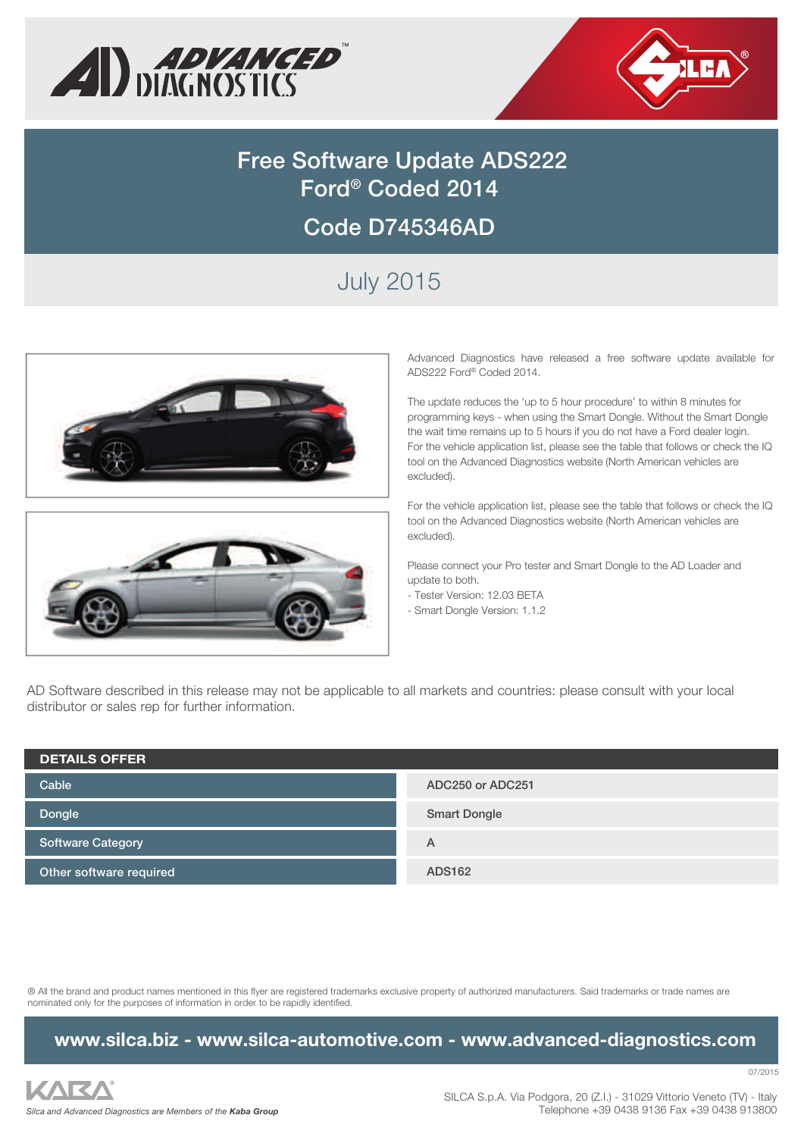



# **Free Software Update ADS222 Ford® Coded 2014 Code D745346AD**

# July 2015





Advanced Diagnostics have released a free software update available for ADS222 Ford® Coded 2014.

The update reduces the 'up to 5 hour procedure' to within 8 minutes for programming keys - when using the Smart Dongle. Without the Smart Dongle the wait time remains up to 5 hours if you do not have a Ford dealer login. For the vehicle application list, please see the table that follows or check the IQ tool on the Advanced Diagnostics website (North American vehicles are excluded).

For the vehicle application list, please see the table that follows or check the IQ tool on the Advanced Diagnostics website (North American vehicles are excluded).

Please connect your Pro tester and Smart Dongle to the AD Loader and update to both.

- Tester Version: 12.03 BETA
- Smart Dongle Version: 1.1.2

AD Software described in this release may not be applicable to all markets and countries: please consult with your local distributor or sales rep for further information.

| <b>DETAILS OFFER</b>     |                     |
|--------------------------|---------------------|
| Cable                    | ADC250 or ADC251    |
| Dongle                   | <b>Smart Dongle</b> |
| <b>Software Category</b> | Α                   |
| Other software required  | ADS162              |

® All the brand and product names mentioned in this flyer are registered trademarks exclusive property of authorized manufacturers. Said trademarks or trade names are nominated only for the purposes of information in order to be rapidly identified.

#### **www.silca.biz - www.silca-automotive.com - www.advanced-diagnostics.com**

KAR/ *Silca and Advanced Diagnostics are Members of the Kaba Group* 07/2015